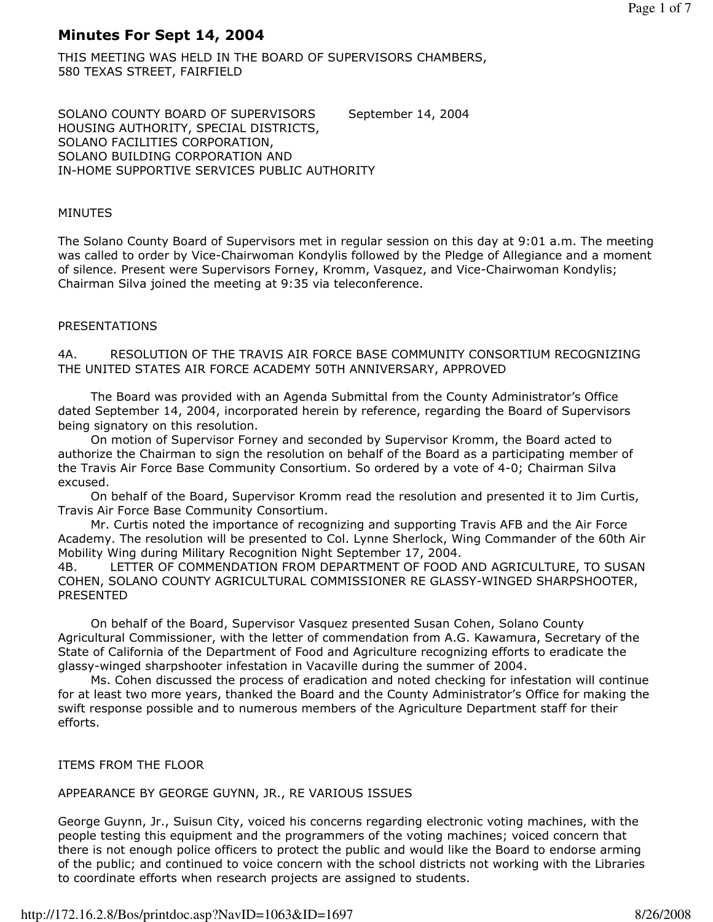# Minutes For Sept 14, 2004

THIS MEETING WAS HELD IN THE BOARD OF SUPERVISORS CHAMBERS, 580 TEXAS STREET, FAIRFIELD

SOLANO COUNTY BOARD OF SUPERVISORS September 14, 2004 HOUSING AUTHORITY, SPECIAL DISTRICTS, SOLANO FACILITIES CORPORATION, SOLANO BUILDING CORPORATION AND IN-HOME SUPPORTIVE SERVICES PUBLIC AUTHORITY

### MINUTES

The Solano County Board of Supervisors met in regular session on this day at 9:01 a.m. The meeting was called to order by Vice-Chairwoman Kondylis followed by the Pledge of Allegiance and a moment of silence. Present were Supervisors Forney, Kromm, Vasquez, and Vice-Chairwoman Kondylis; Chairman Silva joined the meeting at 9:35 via teleconference.

## PRESENTATIONS

4A. RESOLUTION OF THE TRAVIS AIR FORCE BASE COMMUNITY CONSORTIUM RECOGNIZING THE UNITED STATES AIR FORCE ACADEMY 50TH ANNIVERSARY, APPROVED

 The Board was provided with an Agenda Submittal from the County Administrator's Office dated September 14, 2004, incorporated herein by reference, regarding the Board of Supervisors being signatory on this resolution.

 On motion of Supervisor Forney and seconded by Supervisor Kromm, the Board acted to authorize the Chairman to sign the resolution on behalf of the Board as a participating member of the Travis Air Force Base Community Consortium. So ordered by a vote of 4-0; Chairman Silva excused.

 On behalf of the Board, Supervisor Kromm read the resolution and presented it to Jim Curtis, Travis Air Force Base Community Consortium.

 Mr. Curtis noted the importance of recognizing and supporting Travis AFB and the Air Force Academy. The resolution will be presented to Col. Lynne Sherlock, Wing Commander of the 60th Air Mobility Wing during Military Recognition Night September 17, 2004.

4B. LETTER OF COMMENDATION FROM DEPARTMENT OF FOOD AND AGRICULTURE, TO SUSAN COHEN, SOLANO COUNTY AGRICULTURAL COMMISSIONER RE GLASSY-WINGED SHARPSHOOTER, PRESENTED

 On behalf of the Board, Supervisor Vasquez presented Susan Cohen, Solano County Agricultural Commissioner, with the letter of commendation from A.G. Kawamura, Secretary of the State of California of the Department of Food and Agriculture recognizing efforts to eradicate the glassy-winged sharpshooter infestation in Vacaville during the summer of 2004.

 Ms. Cohen discussed the process of eradication and noted checking for infestation will continue for at least two more years, thanked the Board and the County Administrator's Office for making the swift response possible and to numerous members of the Agriculture Department staff for their efforts.

## ITEMS FROM THE FLOOR

## APPEARANCE BY GEORGE GUYNN, JR., RE VARIOUS ISSUES

George Guynn, Jr., Suisun City, voiced his concerns regarding electronic voting machines, with the people testing this equipment and the programmers of the voting machines; voiced concern that there is not enough police officers to protect the public and would like the Board to endorse arming of the public; and continued to voice concern with the school districts not working with the Libraries to coordinate efforts when research projects are assigned to students.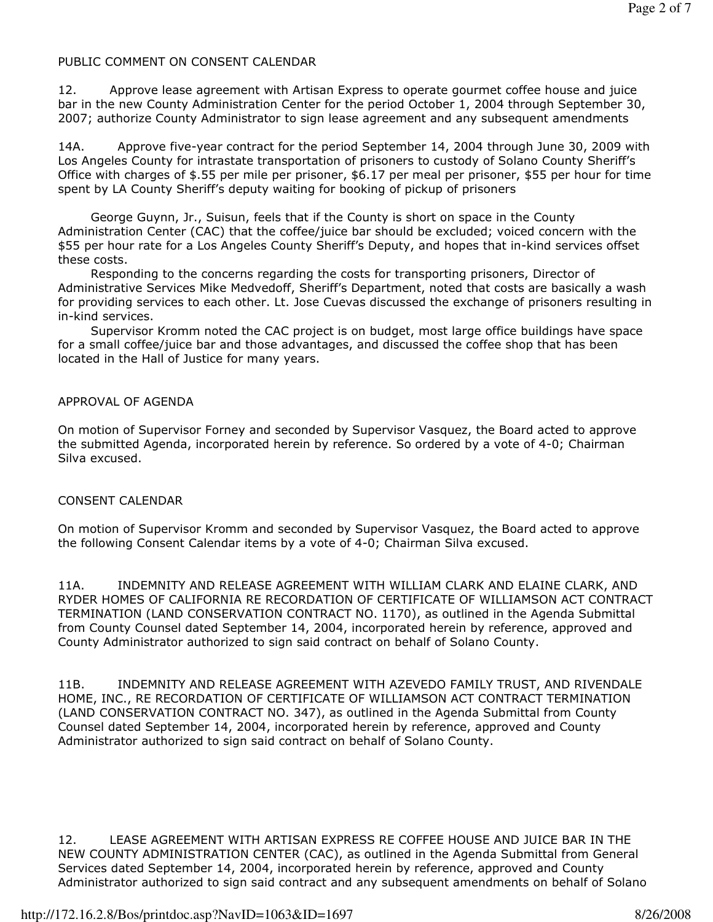### PUBLIC COMMENT ON CONSENT CALENDAR

12. Approve lease agreement with Artisan Express to operate gourmet coffee house and juice bar in the new County Administration Center for the period October 1, 2004 through September 30, 2007; authorize County Administrator to sign lease agreement and any subsequent amendments

14A. Approve five-year contract for the period September 14, 2004 through June 30, 2009 with Los Angeles County for intrastate transportation of prisoners to custody of Solano County Sheriff's Office with charges of \$.55 per mile per prisoner, \$6.17 per meal per prisoner, \$55 per hour for time spent by LA County Sheriff's deputy waiting for booking of pickup of prisoners

 George Guynn, Jr., Suisun, feels that if the County is short on space in the County Administration Center (CAC) that the coffee/juice bar should be excluded; voiced concern with the \$55 per hour rate for a Los Angeles County Sheriff's Deputy, and hopes that in-kind services offset these costs.

 Responding to the concerns regarding the costs for transporting prisoners, Director of Administrative Services Mike Medvedoff, Sheriff's Department, noted that costs are basically a wash for providing services to each other. Lt. Jose Cuevas discussed the exchange of prisoners resulting in in-kind services.

 Supervisor Kromm noted the CAC project is on budget, most large office buildings have space for a small coffee/juice bar and those advantages, and discussed the coffee shop that has been located in the Hall of Justice for many years.

#### APPROVAL OF AGENDA

On motion of Supervisor Forney and seconded by Supervisor Vasquez, the Board acted to approve the submitted Agenda, incorporated herein by reference. So ordered by a vote of 4-0; Chairman Silva excused.

#### CONSENT CALENDAR

On motion of Supervisor Kromm and seconded by Supervisor Vasquez, the Board acted to approve the following Consent Calendar items by a vote of 4-0; Chairman Silva excused.

11A. INDEMNITY AND RELEASE AGREEMENT WITH WILLIAM CLARK AND ELAINE CLARK, AND RYDER HOMES OF CALIFORNIA RE RECORDATION OF CERTIFICATE OF WILLIAMSON ACT CONTRACT TERMINATION (LAND CONSERVATION CONTRACT NO. 1170), as outlined in the Agenda Submittal from County Counsel dated September 14, 2004, incorporated herein by reference, approved and County Administrator authorized to sign said contract on behalf of Solano County.

11B. INDEMNITY AND RELEASE AGREEMENT WITH AZEVEDO FAMILY TRUST, AND RIVENDALE HOME, INC., RE RECORDATION OF CERTIFICATE OF WILLIAMSON ACT CONTRACT TERMINATION (LAND CONSERVATION CONTRACT NO. 347), as outlined in the Agenda Submittal from County Counsel dated September 14, 2004, incorporated herein by reference, approved and County Administrator authorized to sign said contract on behalf of Solano County.

12. LEASE AGREEMENT WITH ARTISAN EXPRESS RE COFFEE HOUSE AND JUICE BAR IN THE NEW COUNTY ADMINISTRATION CENTER (CAC), as outlined in the Agenda Submittal from General Services dated September 14, 2004, incorporated herein by reference, approved and County Administrator authorized to sign said contract and any subsequent amendments on behalf of Solano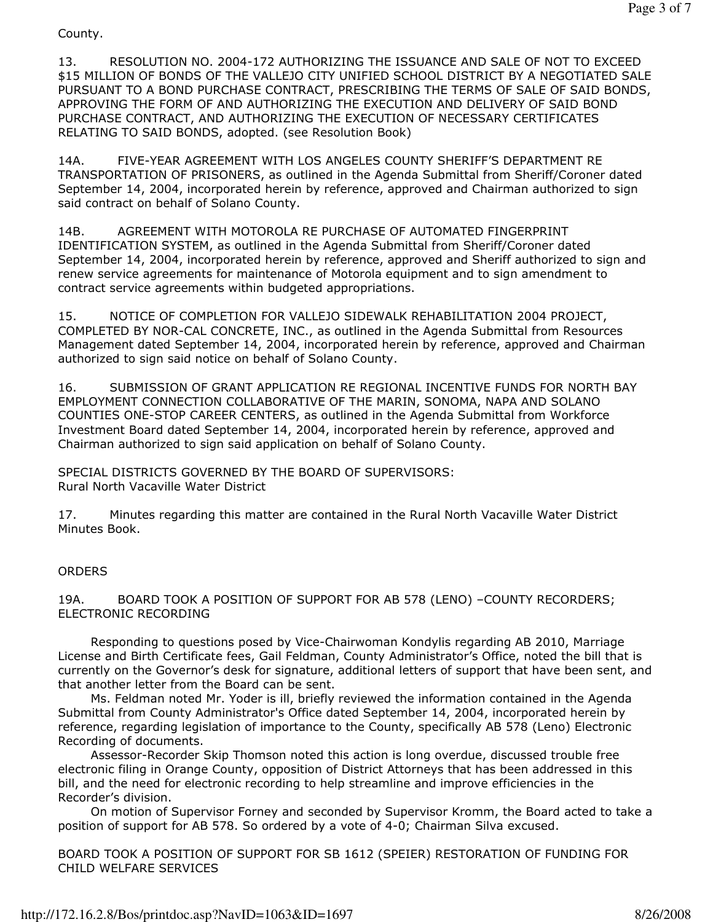County.

13. RESOLUTION NO. 2004-172 AUTHORIZING THE ISSUANCE AND SALE OF NOT TO EXCEED \$15 MILLION OF BONDS OF THE VALLEJO CITY UNIFIED SCHOOL DISTRICT BY A NEGOTIATED SALE PURSUANT TO A BOND PURCHASE CONTRACT, PRESCRIBING THE TERMS OF SALE OF SAID BONDS, APPROVING THE FORM OF AND AUTHORIZING THE EXECUTION AND DELIVERY OF SAID BOND PURCHASE CONTRACT, AND AUTHORIZING THE EXECUTION OF NECESSARY CERTIFICATES RELATING TO SAID BONDS, adopted. (see Resolution Book)

14A. FIVE-YEAR AGREEMENT WITH LOS ANGELES COUNTY SHERIFF'S DEPARTMENT RE TRANSPORTATION OF PRISONERS, as outlined in the Agenda Submittal from Sheriff/Coroner dated September 14, 2004, incorporated herein by reference, approved and Chairman authorized to sign said contract on behalf of Solano County.

14B. AGREEMENT WITH MOTOROLA RE PURCHASE OF AUTOMATED FINGERPRINT IDENTIFICATION SYSTEM, as outlined in the Agenda Submittal from Sheriff/Coroner dated September 14, 2004, incorporated herein by reference, approved and Sheriff authorized to sign and renew service agreements for maintenance of Motorola equipment and to sign amendment to contract service agreements within budgeted appropriations.

15. NOTICE OF COMPLETION FOR VALLEJO SIDEWALK REHABILITATION 2004 PROJECT, COMPLETED BY NOR-CAL CONCRETE, INC., as outlined in the Agenda Submittal from Resources Management dated September 14, 2004, incorporated herein by reference, approved and Chairman authorized to sign said notice on behalf of Solano County.

16. SUBMISSION OF GRANT APPLICATION RE REGIONAL INCENTIVE FUNDS FOR NORTH BAY EMPLOYMENT CONNECTION COLLABORATIVE OF THE MARIN, SONOMA, NAPA AND SOLANO COUNTIES ONE-STOP CAREER CENTERS, as outlined in the Agenda Submittal from Workforce Investment Board dated September 14, 2004, incorporated herein by reference, approved and Chairman authorized to sign said application on behalf of Solano County.

SPECIAL DISTRICTS GOVERNED BY THE BOARD OF SUPERVISORS: Rural North Vacaville Water District

17. Minutes regarding this matter are contained in the Rural North Vacaville Water District Minutes Book.

### **ORDERS**

19A. BOARD TOOK A POSITION OF SUPPORT FOR AB 578 (LENO) –COUNTY RECORDERS; ELECTRONIC RECORDING

 Responding to questions posed by Vice-Chairwoman Kondylis regarding AB 2010, Marriage License and Birth Certificate fees, Gail Feldman, County Administrator's Office, noted the bill that is currently on the Governor's desk for signature, additional letters of support that have been sent, and that another letter from the Board can be sent.

 Ms. Feldman noted Mr. Yoder is ill, briefly reviewed the information contained in the Agenda Submittal from County Administrator's Office dated September 14, 2004, incorporated herein by reference, regarding legislation of importance to the County, specifically AB 578 (Leno) Electronic Recording of documents.

 Assessor-Recorder Skip Thomson noted this action is long overdue, discussed trouble free electronic filing in Orange County, opposition of District Attorneys that has been addressed in this bill, and the need for electronic recording to help streamline and improve efficiencies in the Recorder's division.

 On motion of Supervisor Forney and seconded by Supervisor Kromm, the Board acted to take a position of support for AB 578. So ordered by a vote of 4-0; Chairman Silva excused.

BOARD TOOK A POSITION OF SUPPORT FOR SB 1612 (SPEIER) RESTORATION OF FUNDING FOR CHILD WELFARE SERVICES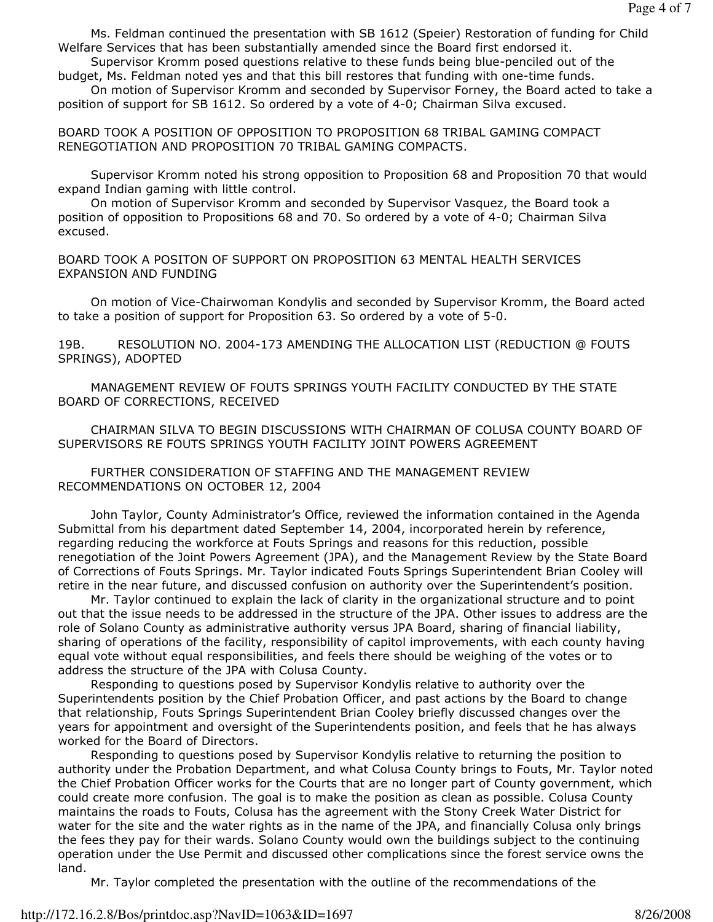Ms. Feldman continued the presentation with SB 1612 (Speier) Restoration of funding for Child Welfare Services that has been substantially amended since the Board first endorsed it.

 Supervisor Kromm posed questions relative to these funds being blue-penciled out of the budget, Ms. Feldman noted yes and that this bill restores that funding with one-time funds.

 On motion of Supervisor Kromm and seconded by Supervisor Forney, the Board acted to take a position of support for SB 1612. So ordered by a vote of 4-0; Chairman Silva excused.

BOARD TOOK A POSITION OF OPPOSITION TO PROPOSITION 68 TRIBAL GAMING COMPACT RENEGOTIATION AND PROPOSITION 70 TRIBAL GAMING COMPACTS.

 Supervisor Kromm noted his strong opposition to Proposition 68 and Proposition 70 that would expand Indian gaming with little control.

 On motion of Supervisor Kromm and seconded by Supervisor Vasquez, the Board took a position of opposition to Propositions 68 and 70. So ordered by a vote of 4-0; Chairman Silva excused.

BOARD TOOK A POSITON OF SUPPORT ON PROPOSITION 63 MENTAL HEALTH SERVICES EXPANSION AND FUNDING

 On motion of Vice-Chairwoman Kondylis and seconded by Supervisor Kromm, the Board acted to take a position of support for Proposition 63. So ordered by a vote of 5-0.

19B. RESOLUTION NO. 2004-173 AMENDING THE ALLOCATION LIST (REDUCTION @ FOUTS SPRINGS), ADOPTED

 MANAGEMENT REVIEW OF FOUTS SPRINGS YOUTH FACILITY CONDUCTED BY THE STATE BOARD OF CORRECTIONS, RECEIVED

 CHAIRMAN SILVA TO BEGIN DISCUSSIONS WITH CHAIRMAN OF COLUSA COUNTY BOARD OF SUPERVISORS RE FOUTS SPRINGS YOUTH FACILITY JOINT POWERS AGREEMENT

 FURTHER CONSIDERATION OF STAFFING AND THE MANAGEMENT REVIEW RECOMMENDATIONS ON OCTOBER 12, 2004

 John Taylor, County Administrator's Office, reviewed the information contained in the Agenda Submittal from his department dated September 14, 2004, incorporated herein by reference, regarding reducing the workforce at Fouts Springs and reasons for this reduction, possible renegotiation of the Joint Powers Agreement (JPA), and the Management Review by the State Board of Corrections of Fouts Springs. Mr. Taylor indicated Fouts Springs Superintendent Brian Cooley will retire in the near future, and discussed confusion on authority over the Superintendent's position.

 Mr. Taylor continued to explain the lack of clarity in the organizational structure and to point out that the issue needs to be addressed in the structure of the JPA. Other issues to address are the role of Solano County as administrative authority versus JPA Board, sharing of financial liability, sharing of operations of the facility, responsibility of capitol improvements, with each county having equal vote without equal responsibilities, and feels there should be weighing of the votes or to address the structure of the JPA with Colusa County.

 Responding to questions posed by Supervisor Kondylis relative to authority over the Superintendents position by the Chief Probation Officer, and past actions by the Board to change that relationship, Fouts Springs Superintendent Brian Cooley briefly discussed changes over the years for appointment and oversight of the Superintendents position, and feels that he has always worked for the Board of Directors.

 Responding to questions posed by Supervisor Kondylis relative to returning the position to authority under the Probation Department, and what Colusa County brings to Fouts, Mr. Taylor noted the Chief Probation Officer works for the Courts that are no longer part of County government, which could create more confusion. The goal is to make the position as clean as possible. Colusa County maintains the roads to Fouts, Colusa has the agreement with the Stony Creek Water District for water for the site and the water rights as in the name of the JPA, and financially Colusa only brings the fees they pay for their wards. Solano County would own the buildings subject to the continuing operation under the Use Permit and discussed other complications since the forest service owns the land.

Mr. Taylor completed the presentation with the outline of the recommendations of the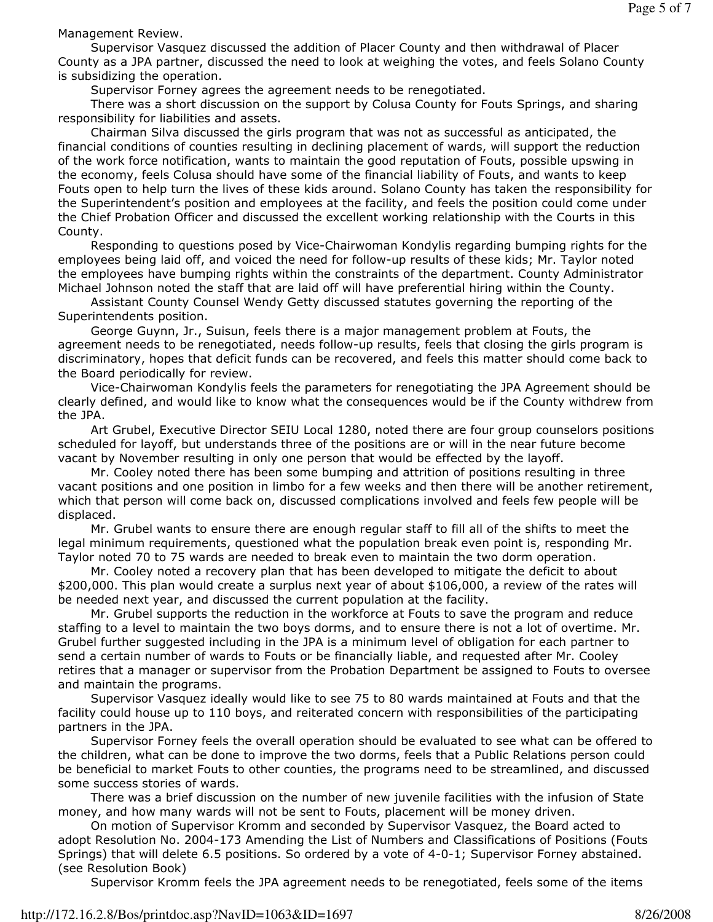Management Review.

 Supervisor Vasquez discussed the addition of Placer County and then withdrawal of Placer County as a JPA partner, discussed the need to look at weighing the votes, and feels Solano County is subsidizing the operation.

Supervisor Forney agrees the agreement needs to be renegotiated.

 There was a short discussion on the support by Colusa County for Fouts Springs, and sharing responsibility for liabilities and assets.

 Chairman Silva discussed the girls program that was not as successful as anticipated, the financial conditions of counties resulting in declining placement of wards, will support the reduction of the work force notification, wants to maintain the good reputation of Fouts, possible upswing in the economy, feels Colusa should have some of the financial liability of Fouts, and wants to keep Fouts open to help turn the lives of these kids around. Solano County has taken the responsibility for the Superintendent's position and employees at the facility, and feels the position could come under the Chief Probation Officer and discussed the excellent working relationship with the Courts in this County.

 Responding to questions posed by Vice-Chairwoman Kondylis regarding bumping rights for the employees being laid off, and voiced the need for follow-up results of these kids; Mr. Taylor noted the employees have bumping rights within the constraints of the department. County Administrator Michael Johnson noted the staff that are laid off will have preferential hiring within the County.

 Assistant County Counsel Wendy Getty discussed statutes governing the reporting of the Superintendents position.

 George Guynn, Jr., Suisun, feels there is a major management problem at Fouts, the agreement needs to be renegotiated, needs follow-up results, feels that closing the girls program is discriminatory, hopes that deficit funds can be recovered, and feels this matter should come back to the Board periodically for review.

 Vice-Chairwoman Kondylis feels the parameters for renegotiating the JPA Agreement should be clearly defined, and would like to know what the consequences would be if the County withdrew from the JPA.

 Art Grubel, Executive Director SEIU Local 1280, noted there are four group counselors positions scheduled for layoff, but understands three of the positions are or will in the near future become vacant by November resulting in only one person that would be effected by the layoff.

 Mr. Cooley noted there has been some bumping and attrition of positions resulting in three vacant positions and one position in limbo for a few weeks and then there will be another retirement, which that person will come back on, discussed complications involved and feels few people will be displaced.

 Mr. Grubel wants to ensure there are enough regular staff to fill all of the shifts to meet the legal minimum requirements, questioned what the population break even point is, responding Mr. Taylor noted 70 to 75 wards are needed to break even to maintain the two dorm operation.

 Mr. Cooley noted a recovery plan that has been developed to mitigate the deficit to about \$200,000. This plan would create a surplus next year of about \$106,000, a review of the rates will be needed next year, and discussed the current population at the facility.

 Mr. Grubel supports the reduction in the workforce at Fouts to save the program and reduce staffing to a level to maintain the two boys dorms, and to ensure there is not a lot of overtime. Mr. Grubel further suggested including in the JPA is a minimum level of obligation for each partner to send a certain number of wards to Fouts or be financially liable, and requested after Mr. Cooley retires that a manager or supervisor from the Probation Department be assigned to Fouts to oversee and maintain the programs.

 Supervisor Vasquez ideally would like to see 75 to 80 wards maintained at Fouts and that the facility could house up to 110 boys, and reiterated concern with responsibilities of the participating partners in the JPA.

 Supervisor Forney feels the overall operation should be evaluated to see what can be offered to the children, what can be done to improve the two dorms, feels that a Public Relations person could be beneficial to market Fouts to other counties, the programs need to be streamlined, and discussed some success stories of wards.

 There was a brief discussion on the number of new juvenile facilities with the infusion of State money, and how many wards will not be sent to Fouts, placement will be money driven.

 On motion of Supervisor Kromm and seconded by Supervisor Vasquez, the Board acted to adopt Resolution No. 2004-173 Amending the List of Numbers and Classifications of Positions (Fouts Springs) that will delete 6.5 positions. So ordered by a vote of 4-0-1; Supervisor Forney abstained. (see Resolution Book)

Supervisor Kromm feels the JPA agreement needs to be renegotiated, feels some of the items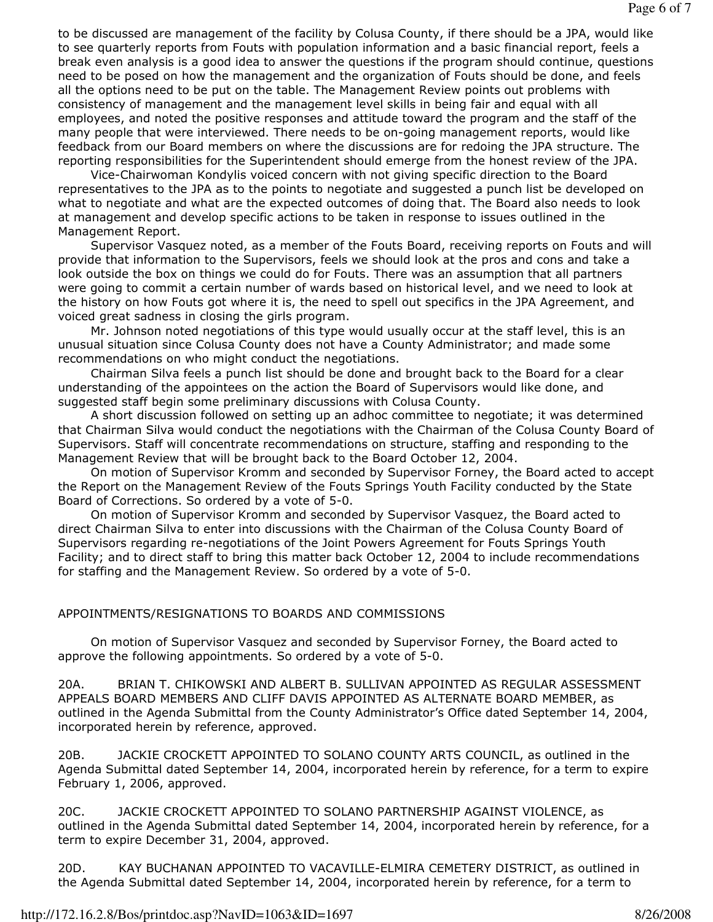to be discussed are management of the facility by Colusa County, if there should be a JPA, would like to see quarterly reports from Fouts with population information and a basic financial report, feels a break even analysis is a good idea to answer the questions if the program should continue, questions need to be posed on how the management and the organization of Fouts should be done, and feels all the options need to be put on the table. The Management Review points out problems with consistency of management and the management level skills in being fair and equal with all employees, and noted the positive responses and attitude toward the program and the staff of the many people that were interviewed. There needs to be on-going management reports, would like feedback from our Board members on where the discussions are for redoing the JPA structure. The reporting responsibilities for the Superintendent should emerge from the honest review of the JPA.

 Vice-Chairwoman Kondylis voiced concern with not giving specific direction to the Board representatives to the JPA as to the points to negotiate and suggested a punch list be developed on what to negotiate and what are the expected outcomes of doing that. The Board also needs to look at management and develop specific actions to be taken in response to issues outlined in the Management Report.

 Supervisor Vasquez noted, as a member of the Fouts Board, receiving reports on Fouts and will provide that information to the Supervisors, feels we should look at the pros and cons and take a look outside the box on things we could do for Fouts. There was an assumption that all partners were going to commit a certain number of wards based on historical level, and we need to look at the history on how Fouts got where it is, the need to spell out specifics in the JPA Agreement, and voiced great sadness in closing the girls program.

 Mr. Johnson noted negotiations of this type would usually occur at the staff level, this is an unusual situation since Colusa County does not have a County Administrator; and made some recommendations on who might conduct the negotiations.

 Chairman Silva feels a punch list should be done and brought back to the Board for a clear understanding of the appointees on the action the Board of Supervisors would like done, and suggested staff begin some preliminary discussions with Colusa County.

 A short discussion followed on setting up an adhoc committee to negotiate; it was determined that Chairman Silva would conduct the negotiations with the Chairman of the Colusa County Board of Supervisors. Staff will concentrate recommendations on structure, staffing and responding to the Management Review that will be brought back to the Board October 12, 2004.

 On motion of Supervisor Kromm and seconded by Supervisor Forney, the Board acted to accept the Report on the Management Review of the Fouts Springs Youth Facility conducted by the State Board of Corrections. So ordered by a vote of 5-0.

 On motion of Supervisor Kromm and seconded by Supervisor Vasquez, the Board acted to direct Chairman Silva to enter into discussions with the Chairman of the Colusa County Board of Supervisors regarding re-negotiations of the Joint Powers Agreement for Fouts Springs Youth Facility; and to direct staff to bring this matter back October 12, 2004 to include recommendations for staffing and the Management Review. So ordered by a vote of 5-0.

### APPOINTMENTS/RESIGNATIONS TO BOARDS AND COMMISSIONS

 On motion of Supervisor Vasquez and seconded by Supervisor Forney, the Board acted to approve the following appointments. So ordered by a vote of 5-0.

20A. BRIAN T. CHIKOWSKI AND ALBERT B. SULLIVAN APPOINTED AS REGULAR ASSESSMENT APPEALS BOARD MEMBERS AND CLIFF DAVIS APPOINTED AS ALTERNATE BOARD MEMBER, as outlined in the Agenda Submittal from the County Administrator's Office dated September 14, 2004, incorporated herein by reference, approved.

20B. JACKIE CROCKETT APPOINTED TO SOLANO COUNTY ARTS COUNCIL, as outlined in the Agenda Submittal dated September 14, 2004, incorporated herein by reference, for a term to expire February 1, 2006, approved.

20C. JACKIE CROCKETT APPOINTED TO SOLANO PARTNERSHIP AGAINST VIOLENCE, as outlined in the Agenda Submittal dated September 14, 2004, incorporated herein by reference, for a term to expire December 31, 2004, approved.

20D. KAY BUCHANAN APPOINTED TO VACAVILLE-ELMIRA CEMETERY DISTRICT, as outlined in the Agenda Submittal dated September 14, 2004, incorporated herein by reference, for a term to